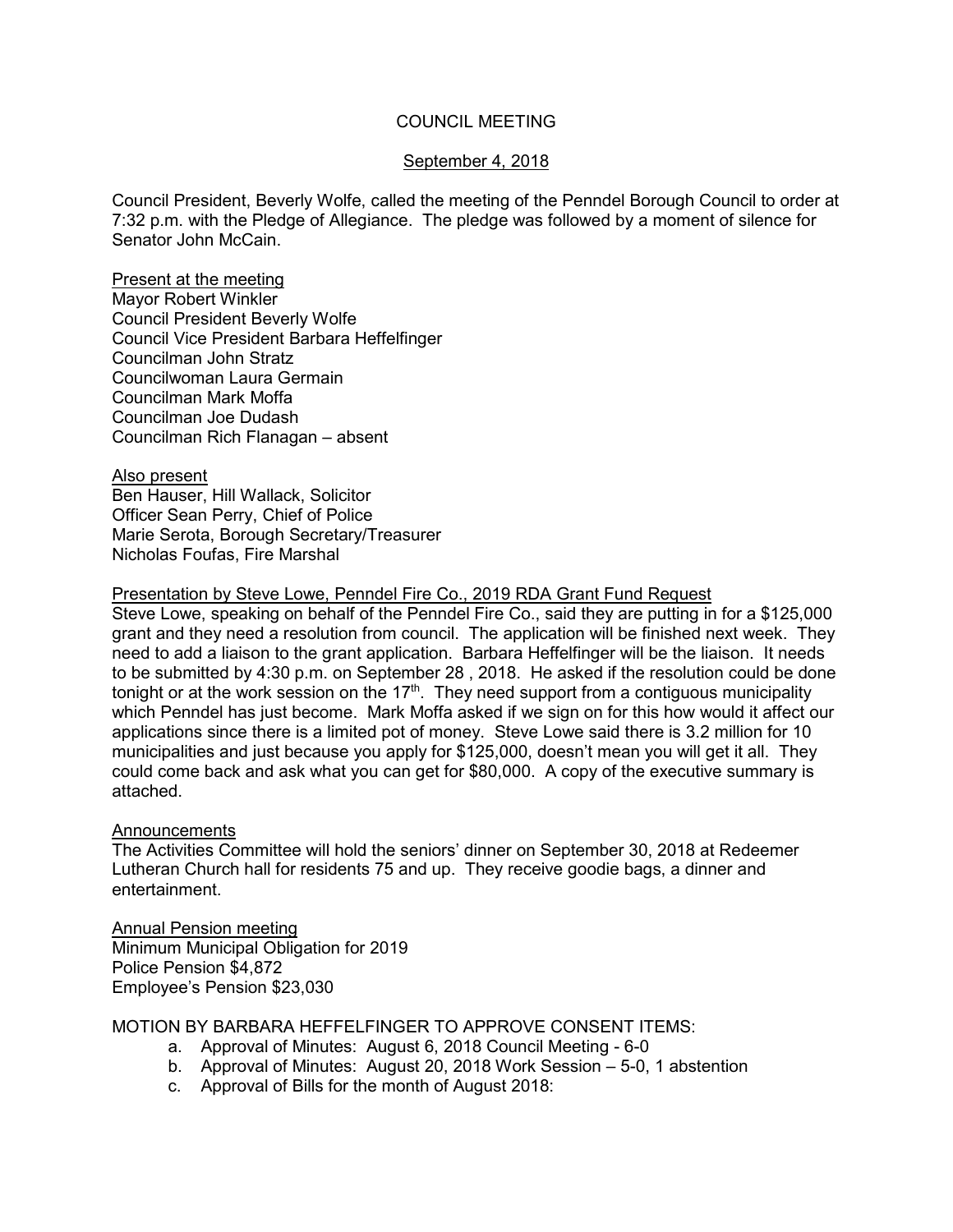# COUNCIL MEETING

# September 4, 2018

Council President, Beverly Wolfe, called the meeting of the Penndel Borough Council to order at 7:32 p.m. with the Pledge of Allegiance. The pledge was followed by a moment of silence for Senator John McCain.

Present at the meeting Mayor Robert Winkler Council President Beverly Wolfe Council Vice President Barbara Heffelfinger Councilman John Stratz Councilwoman Laura Germain Councilman Mark Moffa Councilman Joe Dudash Councilman Rich Flanagan – absent

Also present Ben Hauser, Hill Wallack, Solicitor Officer Sean Perry, Chief of Police Marie Serota, Borough Secretary/Treasurer Nicholas Foufas, Fire Marshal

# Presentation by Steve Lowe, Penndel Fire Co., 2019 RDA Grant Fund Request

Steve Lowe, speaking on behalf of the Penndel Fire Co., said they are putting in for a \$125,000 grant and they need a resolution from council. The application will be finished next week. They need to add a liaison to the grant application. Barbara Heffelfinger will be the liaison. It needs to be submitted by 4:30 p.m. on September 28 , 2018. He asked if the resolution could be done tonight or at the work session on the  $17<sup>th</sup>$ . They need support from a contiguous municipality which Penndel has just become. Mark Moffa asked if we sign on for this how would it affect our applications since there is a limited pot of money. Steve Lowe said there is 3.2 million for 10 municipalities and just because you apply for \$125,000, doesn't mean you will get it all. They could come back and ask what you can get for \$80,000. A copy of the executive summary is attached.

# **Announcements**

The Activities Committee will hold the seniors' dinner on September 30, 2018 at Redeemer Lutheran Church hall for residents 75 and up. They receive goodie bags, a dinner and entertainment.

Annual Pension meeting Minimum Municipal Obligation for 2019 Police Pension \$4,872 Employee's Pension \$23,030

MOTION BY BARBARA HEFFELFINGER TO APPROVE CONSENT ITEMS:

- a. Approval of Minutes: August 6, 2018 Council Meeting 6-0
- b. Approval of Minutes: August 20, 2018 Work Session 5-0, 1 abstention
- c. Approval of Bills for the month of August 2018: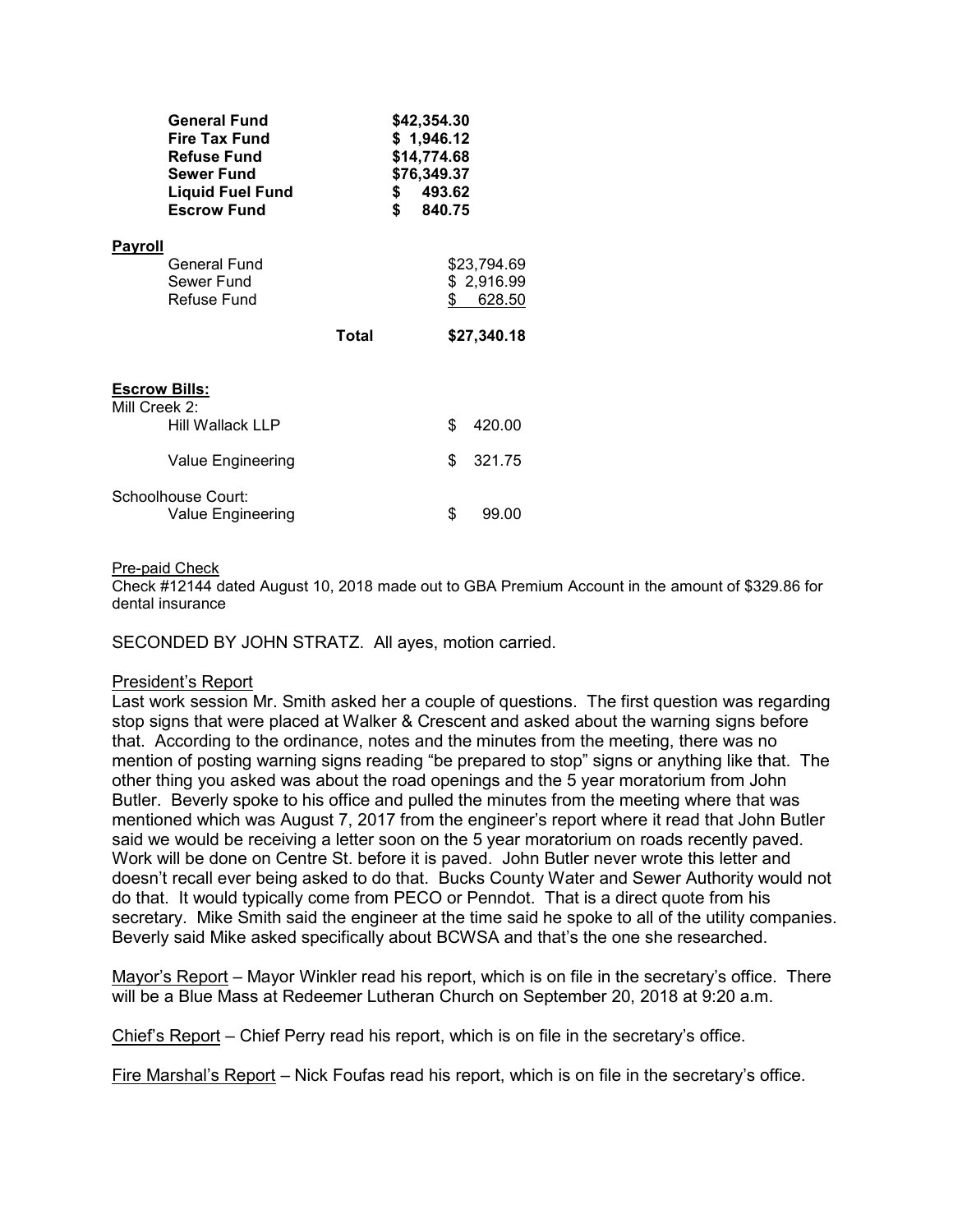|                                       | <b>General Fund</b><br><b>Fire Tax Fund</b><br>Refuse Fund<br><b>Sewer Fund</b><br><b>Liquid Fuel Fund</b><br><b>Escrow Fund</b> |       |  | \$42,354.30<br>\$1,946.12<br>\$14,774.68<br>\$76,349.37<br>\$ 493.62<br>\$<br>840.75 |    |                                                    |  |
|---------------------------------------|----------------------------------------------------------------------------------------------------------------------------------|-------|--|--------------------------------------------------------------------------------------|----|----------------------------------------------------|--|
| <u>Payroll</u>                        | General Fund<br>Sewer Fund<br>Refuse Fund                                                                                        | Total |  |                                                                                      | \$ | \$23,794.69<br>\$2,916.99<br>628.50<br>\$27,340.18 |  |
| <b>Escrow Bills:</b><br>Mill Creek 2: | Hill Wallack LLP                                                                                                                 |       |  |                                                                                      | \$ | 420.00                                             |  |
|                                       | Value Engineering                                                                                                                |       |  |                                                                                      | \$ | 321.75                                             |  |
|                                       | Schoolhouse Court:<br><b>Value Engineering</b>                                                                                   |       |  |                                                                                      | \$ | 99.00                                              |  |

#### Pre-paid Check

Check #12144 dated August 10, 2018 made out to GBA Premium Account in the amount of \$329.86 for dental insurance

SECONDED BY JOHN STRATZ. All ayes, motion carried.

#### President's Report

Last work session Mr. Smith asked her a couple of questions. The first question was regarding stop signs that were placed at Walker & Crescent and asked about the warning signs before that. According to the ordinance, notes and the minutes from the meeting, there was no mention of posting warning signs reading "be prepared to stop" signs or anything like that. The other thing you asked was about the road openings and the 5 year moratorium from John Butler. Beverly spoke to his office and pulled the minutes from the meeting where that was mentioned which was August 7, 2017 from the engineer's report where it read that John Butler said we would be receiving a letter soon on the 5 year moratorium on roads recently paved. Work will be done on Centre St. before it is paved. John Butler never wrote this letter and doesn't recall ever being asked to do that. Bucks County Water and Sewer Authority would not do that. It would typically come from PECO or Penndot. That is a direct quote from his secretary. Mike Smith said the engineer at the time said he spoke to all of the utility companies. Beverly said Mike asked specifically about BCWSA and that's the one she researched.

Mayor's Report – Mayor Winkler read his report, which is on file in the secretary's office. There will be a Blue Mass at Redeemer Lutheran Church on September 20, 2018 at 9:20 a.m.

Chief's Report – Chief Perry read his report, which is on file in the secretary's office.

Fire Marshal's Report – Nick Foufas read his report, which is on file in the secretary's office.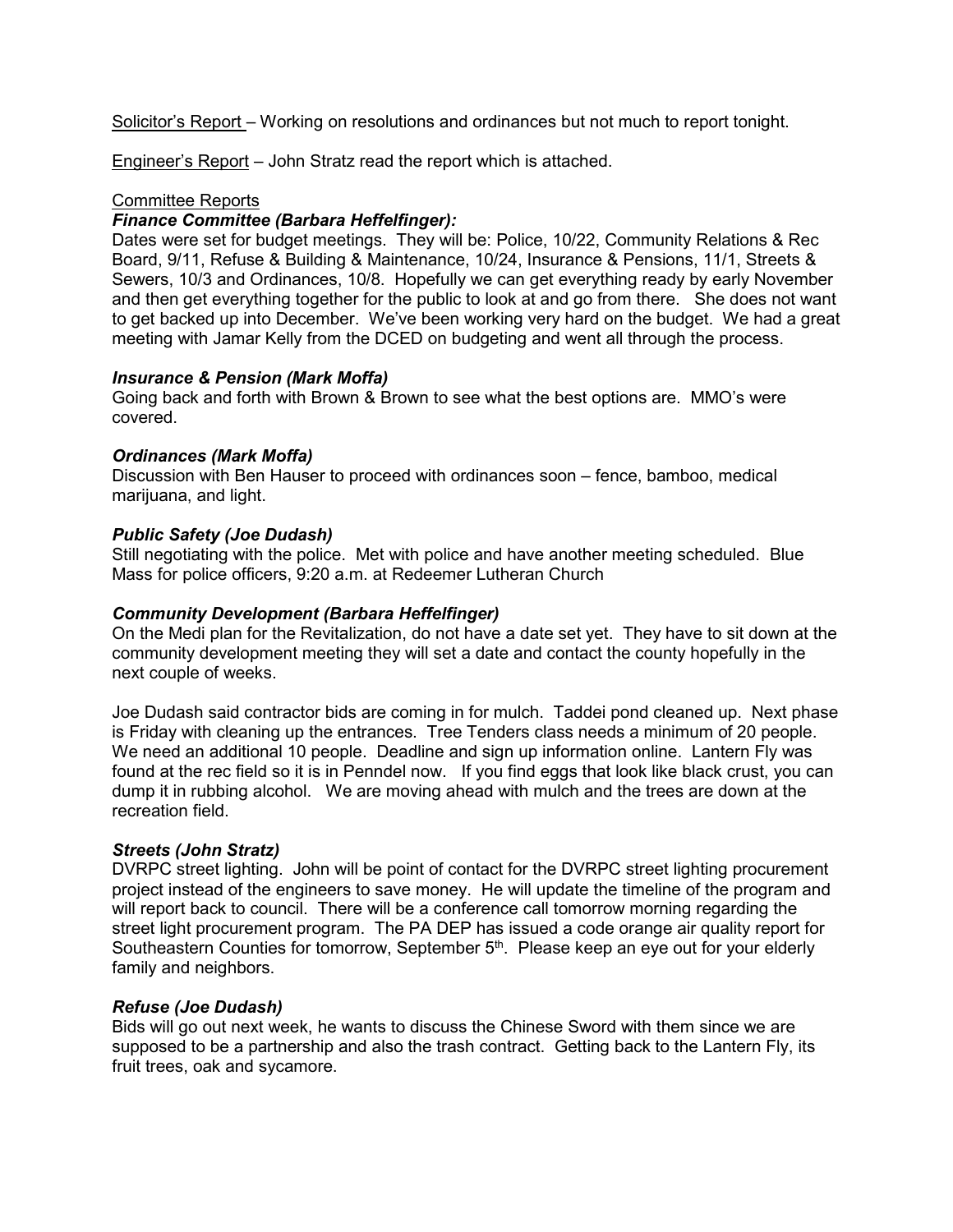Solicitor's Report – Working on resolutions and ordinances but not much to report tonight.

Engineer's Report – John Stratz read the report which is attached.

# Committee Reports

# *Finance Committee (Barbara Heffelfinger):*

Dates were set for budget meetings. They will be: Police, 10/22, Community Relations & Rec Board, 9/11, Refuse & Building & Maintenance, 10/24, Insurance & Pensions, 11/1, Streets & Sewers, 10/3 and Ordinances, 10/8. Hopefully we can get everything ready by early November and then get everything together for the public to look at and go from there. She does not want to get backed up into December. We've been working very hard on the budget. We had a great meeting with Jamar Kelly from the DCED on budgeting and went all through the process.

# *Insurance & Pension (Mark Moffa)*

Going back and forth with Brown & Brown to see what the best options are. MMO's were covered.

# *Ordinances (Mark Moffa)*

Discussion with Ben Hauser to proceed with ordinances soon – fence, bamboo, medical marijuana, and light.

# *Public Safety (Joe Dudash)*

Still negotiating with the police. Met with police and have another meeting scheduled. Blue Mass for police officers, 9:20 a.m. at Redeemer Lutheran Church

# *Community Development (Barbara Heffelfinger)*

On the Medi plan for the Revitalization, do not have a date set yet. They have to sit down at the community development meeting they will set a date and contact the county hopefully in the next couple of weeks.

Joe Dudash said contractor bids are coming in for mulch. Taddei pond cleaned up. Next phase is Friday with cleaning up the entrances. Tree Tenders class needs a minimum of 20 people. We need an additional 10 people. Deadline and sign up information online. Lantern Fly was found at the rec field so it is in Penndel now. If you find eggs that look like black crust, you can dump it in rubbing alcohol. We are moving ahead with mulch and the trees are down at the recreation field.

# *Streets (John Stratz)*

DVRPC street lighting. John will be point of contact for the DVRPC street lighting procurement project instead of the engineers to save money. He will update the timeline of the program and will report back to council. There will be a conference call tomorrow morning regarding the street light procurement program. The PA DEP has issued a code orange air quality report for Southeastern Counties for tomorrow, September  $5<sup>th</sup>$ . Please keep an eye out for your elderly family and neighbors.

# *Refuse (Joe Dudash)*

Bids will go out next week, he wants to discuss the Chinese Sword with them since we are supposed to be a partnership and also the trash contract. Getting back to the Lantern Fly, its fruit trees, oak and sycamore.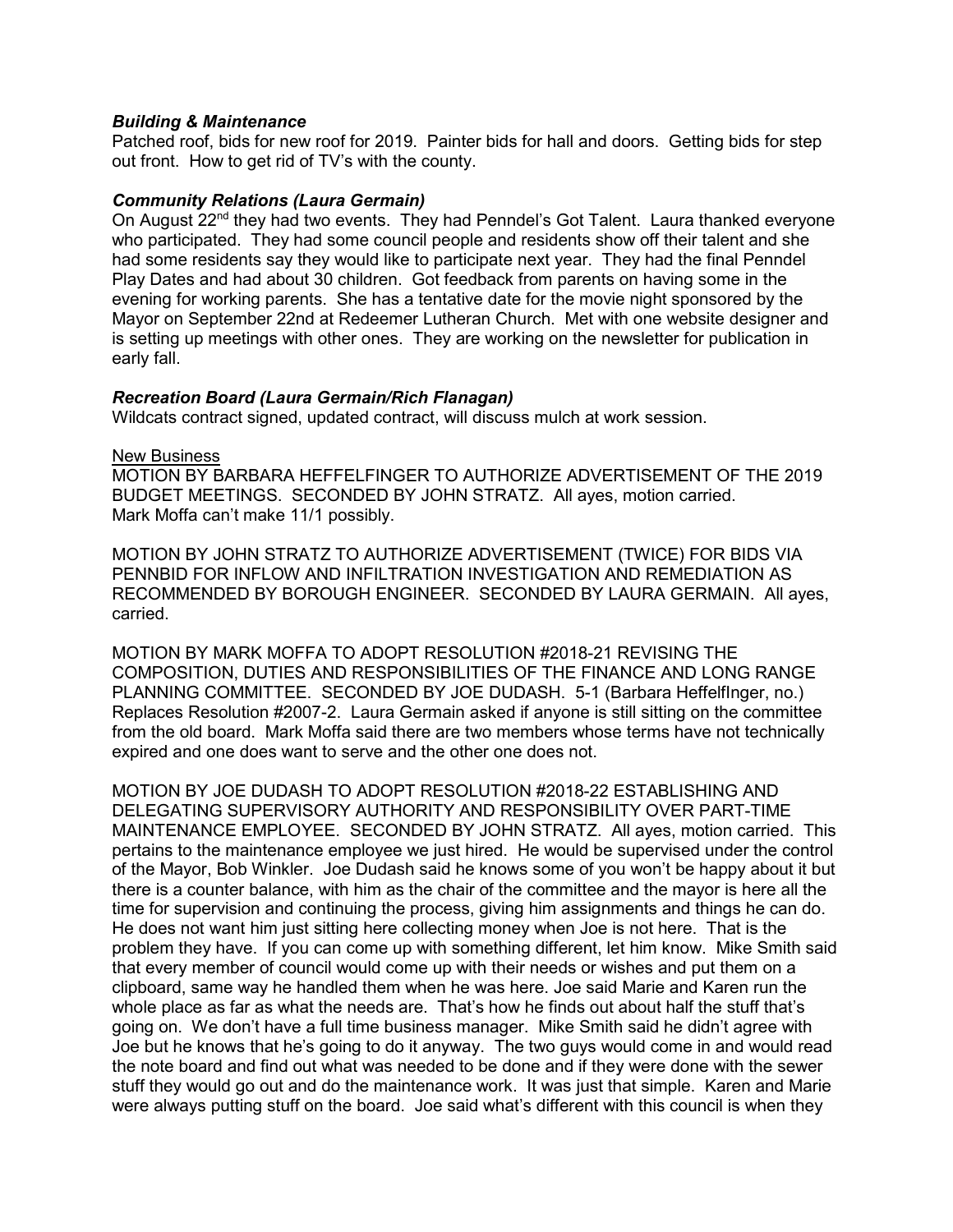# *Building & Maintenance*

Patched roof, bids for new roof for 2019. Painter bids for hall and doors. Getting bids for step out front. How to get rid of TV's with the county.

#### *Community Relations (Laura Germain)*

On August  $22<sup>nd</sup>$  they had two events. They had Penndel's Got Talent. Laura thanked everyone who participated. They had some council people and residents show off their talent and she had some residents say they would like to participate next year. They had the final Penndel Play Dates and had about 30 children. Got feedback from parents on having some in the evening for working parents. She has a tentative date for the movie night sponsored by the Mayor on September 22nd at Redeemer Lutheran Church. Met with one website designer and is setting up meetings with other ones. They are working on the newsletter for publication in early fall.

#### *Recreation Board (Laura Germain/Rich Flanagan)*

Wildcats contract signed, updated contract, will discuss mulch at work session.

#### New Business

MOTION BY BARBARA HEFFELFINGER TO AUTHORIZE ADVERTISEMENT OF THE 2019 BUDGET MEETINGS. SECONDED BY JOHN STRATZ. All ayes, motion carried. Mark Moffa can't make 11/1 possibly.

MOTION BY JOHN STRATZ TO AUTHORIZE ADVERTISEMENT (TWICE) FOR BIDS VIA PENNBID FOR INFLOW AND INFILTRATION INVESTIGATION AND REMEDIATION AS RECOMMENDED BY BOROUGH ENGINEER. SECONDED BY LAURA GERMAIN. All ayes, carried.

MOTION BY MARK MOFFA TO ADOPT RESOLUTION #2018-21 REVISING THE COMPOSITION, DUTIES AND RESPONSIBILITIES OF THE FINANCE AND LONG RANGE PLANNING COMMITTEE. SECONDED BY JOE DUDASH. 5-1 (Barbara HeffelfInger, no.) Replaces Resolution #2007-2. Laura Germain asked if anyone is still sitting on the committee from the old board. Mark Moffa said there are two members whose terms have not technically expired and one does want to serve and the other one does not.

MOTION BY JOE DUDASH TO ADOPT RESOLUTION #2018-22 ESTABLISHING AND DELEGATING SUPERVISORY AUTHORITY AND RESPONSIBILITY OVER PART-TIME MAINTENANCE EMPLOYEE. SECONDED BY JOHN STRATZ. All ayes, motion carried. This pertains to the maintenance employee we just hired. He would be supervised under the control of the Mayor, Bob Winkler. Joe Dudash said he knows some of you won't be happy about it but there is a counter balance, with him as the chair of the committee and the mayor is here all the time for supervision and continuing the process, giving him assignments and things he can do. He does not want him just sitting here collecting money when Joe is not here. That is the problem they have. If you can come up with something different, let him know. Mike Smith said that every member of council would come up with their needs or wishes and put them on a clipboard, same way he handled them when he was here. Joe said Marie and Karen run the whole place as far as what the needs are. That's how he finds out about half the stuff that's going on. We don't have a full time business manager. Mike Smith said he didn't agree with Joe but he knows that he's going to do it anyway. The two guys would come in and would read the note board and find out what was needed to be done and if they were done with the sewer stuff they would go out and do the maintenance work. It was just that simple. Karen and Marie were always putting stuff on the board. Joe said what's different with this council is when they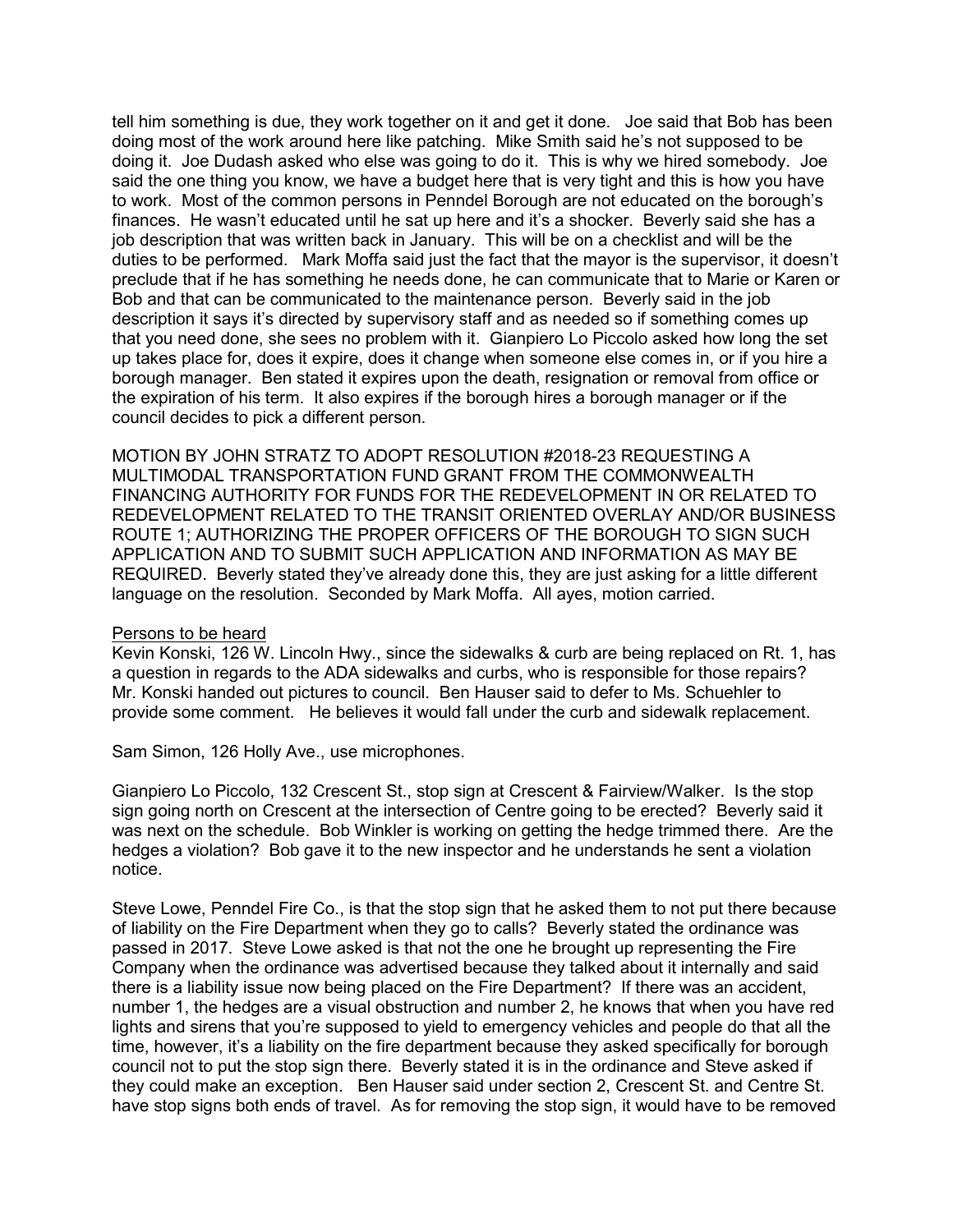tell him something is due, they work together on it and get it done. Joe said that Bob has been doing most of the work around here like patching. Mike Smith said he's not supposed to be doing it. Joe Dudash asked who else was going to do it. This is why we hired somebody. Joe said the one thing you know, we have a budget here that is very tight and this is how you have to work. Most of the common persons in Penndel Borough are not educated on the borough's finances. He wasn't educated until he sat up here and it's a shocker. Beverly said she has a job description that was written back in January. This will be on a checklist and will be the duties to be performed. Mark Moffa said just the fact that the mayor is the supervisor, it doesn't preclude that if he has something he needs done, he can communicate that to Marie or Karen or Bob and that can be communicated to the maintenance person. Beverly said in the job description it says it's directed by supervisory staff and as needed so if something comes up that you need done, she sees no problem with it. Gianpiero Lo Piccolo asked how long the set up takes place for, does it expire, does it change when someone else comes in, or if you hire a borough manager. Ben stated it expires upon the death, resignation or removal from office or the expiration of his term. It also expires if the borough hires a borough manager or if the council decides to pick a different person.

MOTION BY JOHN STRATZ TO ADOPT RESOLUTION #2018-23 REQUESTING A MULTIMODAL TRANSPORTATION FUND GRANT FROM THE COMMONWEALTH FINANCING AUTHORITY FOR FUNDS FOR THE REDEVELOPMENT IN OR RELATED TO REDEVELOPMENT RELATED TO THE TRANSIT ORIENTED OVERLAY AND/OR BUSINESS ROUTE 1; AUTHORIZING THE PROPER OFFICERS OF THE BOROUGH TO SIGN SUCH APPLICATION AND TO SUBMIT SUCH APPLICATION AND INFORMATION AS MAY BE REQUIRED. Beverly stated they've already done this, they are just asking for a little different language on the resolution. Seconded by Mark Moffa. All ayes, motion carried.

# Persons to be heard

Kevin Konski, 126 W. Lincoln Hwy., since the sidewalks & curb are being replaced on Rt. 1, has a question in regards to the ADA sidewalks and curbs, who is responsible for those repairs? Mr. Konski handed out pictures to council. Ben Hauser said to defer to Ms. Schuehler to provide some comment. He believes it would fall under the curb and sidewalk replacement.

Sam Simon, 126 Holly Ave., use microphones.

Gianpiero Lo Piccolo, 132 Crescent St., stop sign at Crescent & Fairview/Walker. Is the stop sign going north on Crescent at the intersection of Centre going to be erected? Beverly said it was next on the schedule. Bob Winkler is working on getting the hedge trimmed there. Are the hedges a violation? Bob gave it to the new inspector and he understands he sent a violation notice.

Steve Lowe, Penndel Fire Co., is that the stop sign that he asked them to not put there because of liability on the Fire Department when they go to calls? Beverly stated the ordinance was passed in 2017. Steve Lowe asked is that not the one he brought up representing the Fire Company when the ordinance was advertised because they talked about it internally and said there is a liability issue now being placed on the Fire Department? If there was an accident, number 1, the hedges are a visual obstruction and number 2, he knows that when you have red lights and sirens that you're supposed to yield to emergency vehicles and people do that all the time, however, it's a liability on the fire department because they asked specifically for borough council not to put the stop sign there. Beverly stated it is in the ordinance and Steve asked if they could make an exception. Ben Hauser said under section 2, Crescent St. and Centre St. have stop signs both ends of travel. As for removing the stop sign, it would have to be removed